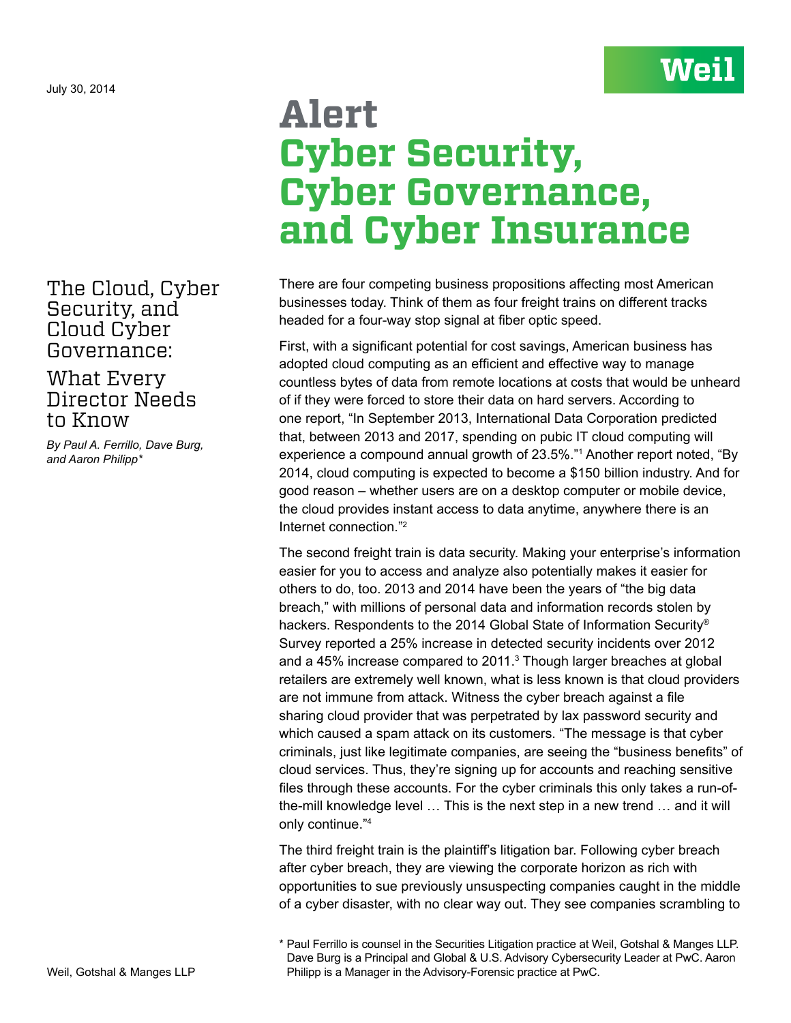The Cloud, Cyber Security, and Cloud Cyber Governance:

## What Every Director Needs to Know

*By Paul A. Ferrillo, Dave Burg, and Aaron Philipp\**

## **Alert Cyber Security, Cyber Governance, and Cyber Insurance**

**Weil** 

There are four competing business propositions affecting most American businesses today. Think of them as four freight trains on different tracks headed for a four-way stop signal at fiber optic speed.

First, with a significant potential for cost savings, American business has adopted cloud computing as an efficient and effective way to manage countless bytes of data from remote locations at costs that would be unheard of if they were forced to store their data on hard servers. According to one report, "In September 2013, International Data Corporation predicted that, between 2013 and 2017, spending on pubic IT cloud computing will experience a compound annual growth of 23.5%."1 Another report noted, "By 2014, cloud computing is expected to become a \$150 billion industry. And for good reason – whether users are on a desktop computer or mobile device, the cloud provides instant access to data anytime, anywhere there is an Internet connection."2

The second freight train is data security. Making your enterprise's information easier for you to access and analyze also potentially makes it easier for others to do, too. 2013 and 2014 have been the years of "the big data breach," with millions of personal data and information records stolen by hackers. Respondents to the 2014 Global State of Information Security® Survey reported a 25% increase in detected security incidents over 2012 and a 45% increase compared to 2011.<sup>3</sup> Though larger breaches at global retailers are extremely well known, what is less known is that cloud providers are not immune from attack. Witness the cyber breach against a file sharing cloud provider that was perpetrated by lax password security and which caused a spam attack on its customers. "The message is that cyber criminals, just like legitimate companies, are seeing the "business benefits" of cloud services. Thus, they're signing up for accounts and reaching sensitive files through these accounts. For the cyber criminals this only takes a run-ofthe-mill knowledge level … This is the next step in a new trend … and it will only continue."4

The third freight train is the plaintiff's litigation bar. Following cyber breach after cyber breach, they are viewing the corporate horizon as rich with opportunities to sue previously unsuspecting companies caught in the middle of a cyber disaster, with no clear way out. They see companies scrambling to

<sup>\*</sup> Paul Ferrillo is counsel in the Securities Litigation practice at Weil, Gotshal & Manges LLP. Dave Burg is a Principal and Global & U.S. Advisory Cybersecurity Leader at PwC. Aaron Philipp is a Manager in the Advisory-Forensic practice at PwC.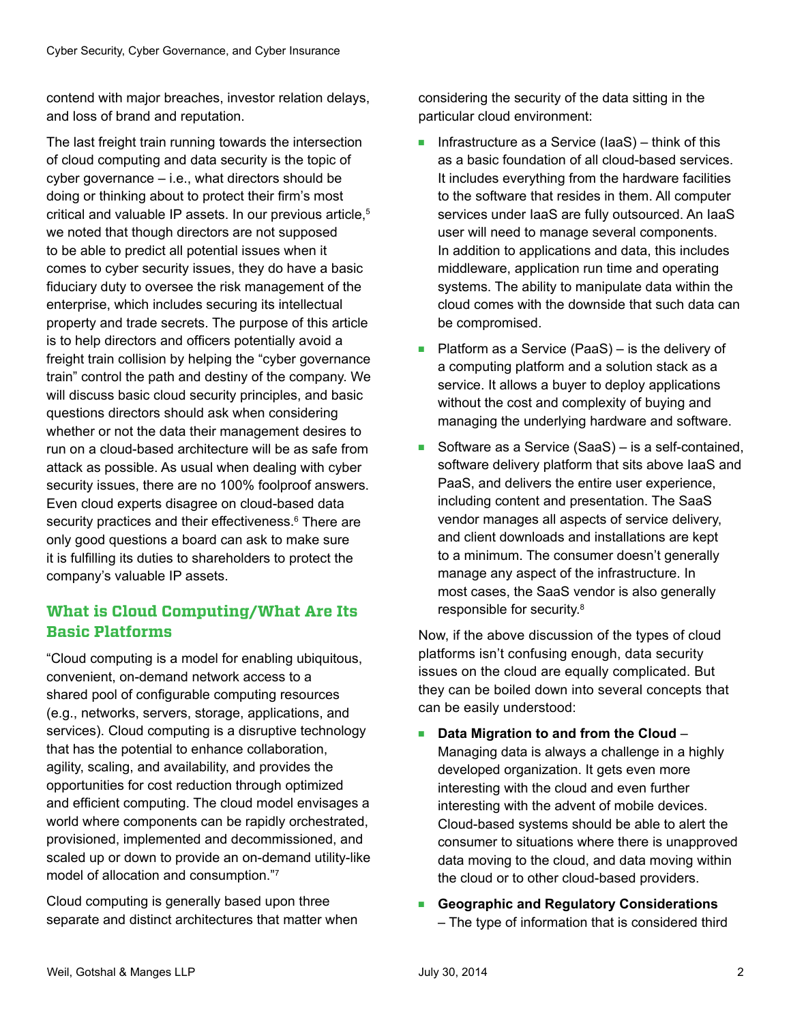contend with major breaches, investor relation delays, and loss of brand and reputation.

The last freight train running towards the intersection of cloud computing and data security is the topic of cyber governance – i.e., what directors should be doing or thinking about to protect their firm's most critical and valuable IP assets. In our previous article,<sup>5</sup> we noted that though directors are not supposed to be able to predict all potential issues when it comes to cyber security issues, they do have a basic fiduciary duty to oversee the risk management of the enterprise, which includes securing its intellectual property and trade secrets. The purpose of this article is to help directors and officers potentially avoid a freight train collision by helping the "cyber governance train" control the path and destiny of the company. We will discuss basic cloud security principles, and basic questions directors should ask when considering whether or not the data their management desires to run on a cloud-based architecture will be as safe from attack as possible. As usual when dealing with cyber security issues, there are no 100% foolproof answers. Even cloud experts disagree on cloud-based data security practices and their effectiveness.<sup>6</sup> There are only good questions a board can ask to make sure it is fulfilling its duties to shareholders to protect the company's valuable IP assets.

## **What is Cloud Computing/What Are Its Basic Platforms**

"Cloud computing is a model for enabling ubiquitous, convenient, on-demand network access to a shared pool of configurable computing resources (e.g., networks, servers, storage, applications, and services). Cloud computing is a disruptive technology that has the potential to enhance collaboration, agility, scaling, and availability, and provides the opportunities for cost reduction through optimized and efficient computing. The cloud model envisages a world where components can be rapidly orchestrated, provisioned, implemented and decommissioned, and scaled up or down to provide an on-demand utility-like model of allocation and consumption."7

Cloud computing is generally based upon three separate and distinct architectures that matter when considering the security of the data sitting in the particular cloud environment:

- Infrastructure as a Service (IaaS) think of this as a basic foundation of all cloud-based services. It includes everything from the hardware facilities to the software that resides in them. All computer services under IaaS are fully outsourced. An IaaS user will need to manage several components. In addition to applications and data, this includes middleware, application run time and operating systems. The ability to manipulate data within the cloud comes with the downside that such data can be compromised.
- Platform as a Service (PaaS) is the delivery of a computing platform and a solution stack as a service. It allows a buyer to deploy applications without the cost and complexity of buying and managing the underlying hardware and software.
- Software as a Service (SaaS) is a self-contained, software delivery platform that sits above IaaS and PaaS, and delivers the entire user experience, including content and presentation. The SaaS vendor manages all aspects of service delivery, and client downloads and installations are kept to a minimum. The consumer doesn't generally manage any aspect of the infrastructure. In most cases, the SaaS vendor is also generally responsible for security.8

Now, if the above discussion of the types of cloud platforms isn't confusing enough, data security issues on the cloud are equally complicated. But they can be boiled down into several concepts that can be easily understood:

- **Data Migration to and from the Cloud** Managing data is always a challenge in a highly developed organization. It gets even more interesting with the cloud and even further interesting with the advent of mobile devices. Cloud-based systems should be able to alert the consumer to situations where there is unapproved data moving to the cloud, and data moving within the cloud or to other cloud-based providers.
- **Geographic and Regulatory Considerations** – The type of information that is considered third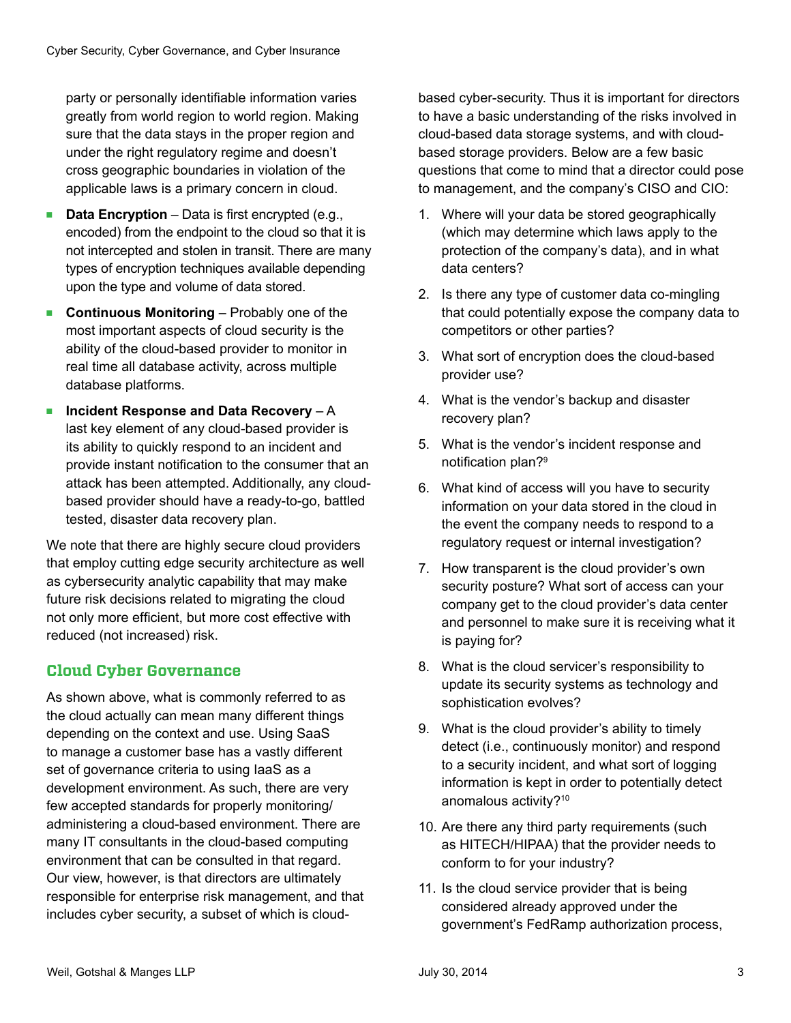party or personally identifiable information varies greatly from world region to world region. Making sure that the data stays in the proper region and under the right regulatory regime and doesn't cross geographic boundaries in violation of the applicable laws is a primary concern in cloud.

- **Data Encryption** Data is first encrypted (e.g., encoded) from the endpoint to the cloud so that it is not intercepted and stolen in transit. There are many types of encryption techniques available depending upon the type and volume of data stored.
- **Continuous Monitoring** Probably one of the most important aspects of cloud security is the ability of the cloud-based provider to monitor in real time all database activity, across multiple database platforms.
- **Incident Response and Data Recovery** A last key element of any cloud-based provider is its ability to quickly respond to an incident and provide instant notification to the consumer that an attack has been attempted. Additionally, any cloudbased provider should have a ready-to-go, battled tested, disaster data recovery plan.

We note that there are highly secure cloud providers that employ cutting edge security architecture as well as cybersecurity analytic capability that may make future risk decisions related to migrating the cloud not only more efficient, but more cost effective with reduced (not increased) risk.

## **Cloud Cyber Governance**

As shown above, what is commonly referred to as the cloud actually can mean many different things depending on the context and use. Using SaaS to manage a customer base has a vastly different set of governance criteria to using IaaS as a development environment. As such, there are very few accepted standards for properly monitoring/ administering a cloud-based environment. There are many IT consultants in the cloud-based computing environment that can be consulted in that regard. Our view, however, is that directors are ultimately responsible for enterprise risk management, and that includes cyber security, a subset of which is cloudbased cyber-security. Thus it is important for directors to have a basic understanding of the risks involved in cloud-based data storage systems, and with cloudbased storage providers. Below are a few basic questions that come to mind that a director could pose to management, and the company's CISO and CIO:

- 1. Where will your data be stored geographically (which may determine which laws apply to the protection of the company's data), and in what data centers?
- 2. Is there any type of customer data co-mingling that could potentially expose the company data to competitors or other parties?
- 3. What sort of encryption does the cloud-based provider use?
- 4. What is the vendor's backup and disaster recovery plan?
- 5. What is the vendor's incident response and notification plan?<sup>9</sup>
- 6. What kind of access will you have to security information on your data stored in the cloud in the event the company needs to respond to a regulatory request or internal investigation?
- 7. How transparent is the cloud provider's own security posture? What sort of access can your company get to the cloud provider's data center and personnel to make sure it is receiving what it is paying for?
- 8. What is the cloud servicer's responsibility to update its security systems as technology and sophistication evolves?
- 9. What is the cloud provider's ability to timely detect (i.e., continuously monitor) and respond to a security incident, and what sort of logging information is kept in order to potentially detect anomalous activity?<sup>10</sup>
- 10. Are there any third party requirements (such as HITECH/HIPAA) that the provider needs to conform to for your industry?
- 11. Is the cloud service provider that is being considered already approved under the government's FedRamp authorization process,